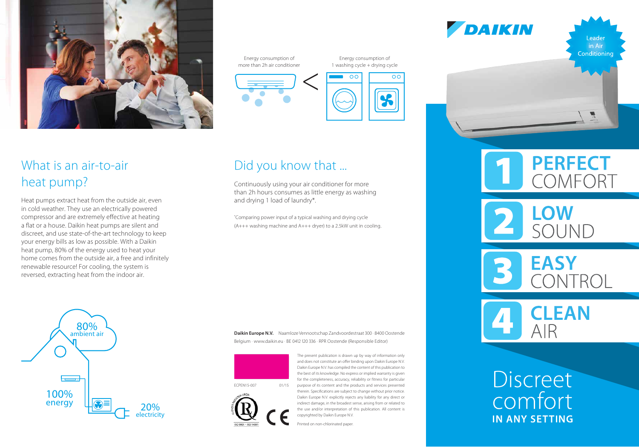

## What is an air-to-air heat pump?

Heat pumps extract heat from the outside air, even in cold weather. They use an electrically powered compressor and are extremely effective at heating a flat or a house. Daikin heat pumps are silent and discreet, and use state-of-the-art technology to keep your energy bills as low as possible. With a Daikin heat pump, 80% of the energy used to heat your home comes from the outside air, a free and infinitely renewable resource! For cooling, the system is reversed, extracting heat from the indoor air.

Energy consumption of more than 2h air conditioner

Energy consumption of 1 washing cycle + drying cycle



### Did you know that ...

Continuously using your air conditioner for more than 2h hours consumes as little energy as washing and drying 1 load of laundry\*.

\* Comparing power input of a typical washing and drying cycle (A+++ washing machine and A+++ dryer) to a 2.5kW unit in cooling.

**Daikin Europe N.V.** Naamloze Vennootschap Zandvoordestraat 300 · 8400 Oostende Belgium · www.daikin.eu · BE 0412 120 336 · RPR Oostende (Responsible Editor)



The present publication is drawn up by way of information only and does not constitute an offer binding upon Daikin Europe N.V. Daikin Europe N.V. has compiled the content of this publication to the best of its knowledge. No express or implied warranty is given for the completeness, accuracy, reliability or fitness for particular purpose of its content and the products and services presented therein. Specifications are subject to change without prior notice. Daikin Europe N.V. explicitly rejects any liability for any direct or indirect damage, in the broadest sense, arising from or related to the use and/or interpretation of this publication. All content is copyrighted by Daikin Europe N.V. Printed on non-chlorinated paper.

ECPEN15-007 01/15



Leader Conditioning

**PERFECT** 

COMFORT



DAIKIN

SOUND

**EASY** CONTROL

**CLEAN** AIR

**Discreet** comfort IN ANY SETTING